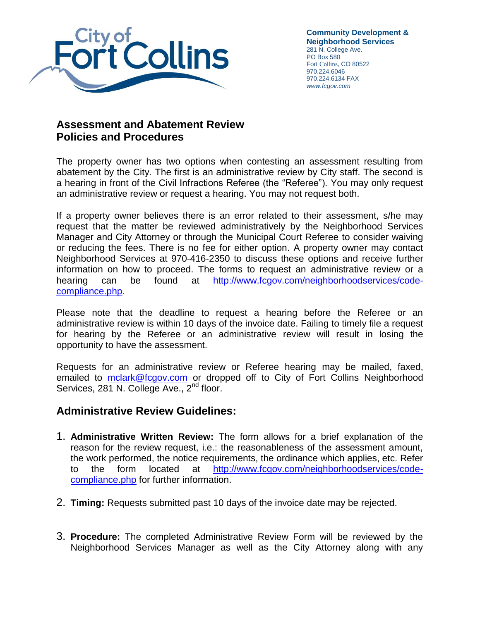

**Community Development & Neighborhood Services** 281 N. College Ave. PO Box 580 Fort Collins, CO 80522 970.224.6046 970.224.6134 FAX *www.fcgov.com*

## **Assessment and Abatement Review Policies and Procedures**

The property owner has two options when contesting an assessment resulting from abatement by the City. The first is an administrative review by City staff. The second is a hearing in front of the Civil Infractions Referee (the "Referee"). You may only request an administrative review or request a hearing. You may not request both.

If a property owner believes there is an error related to their assessment, s/he may request that the matter be reviewed administratively by the Neighborhood Services Manager and City Attorney or through the Municipal Court Referee to consider waiving or reducing the fees. There is no fee for either option. A property owner may contact Neighborhood Services at 970-416-2350 to discuss these options and receive further information on how to proceed. The forms to request an administrative review or a hearing can be found at [http://www.fcgov.com/neighborhoodservices/code](http://www.fcgov.com/neighborhoodservices/code-compliance.php)[compliance.php.](http://www.fcgov.com/neighborhoodservices/code-compliance.php)

Please note that the deadline to request a hearing before the Referee or an administrative review is within 10 days of the invoice date. Failing to timely file a request for hearing by the Referee or an administrative review will result in losing the opportunity to have the assessment.

Requests for an administrative review or Referee hearing may be mailed, faxed, emailed to [mclark@fcgov.com](mailto:mclark@fcgov.com) or dropped off to City of Fort Collins Neighborhood Services, 281 N. College Ave., 2<sup>nd</sup> floor.

## **Administrative Review Guidelines:**

- 1. **Administrative Written Review:** The form allows for a brief explanation of the reason for the review request, i.e.: the reasonableness of the assessment amount, the work performed, the notice requirements, the ordinance which applies, etc. Refer to the form located at [http://www.fcgov.com/neighborhoodservices/code](http://www.fcgov.com/neighborhoodservices/code-compliance.php)[compliance.php](http://www.fcgov.com/neighborhoodservices/code-compliance.php) for further information.
- 2. **Timing:** Requests submitted past 10 days of the invoice date may be rejected.
- 3. **Procedure:** The completed Administrative Review Form will be reviewed by the Neighborhood Services Manager as well as the City Attorney along with any